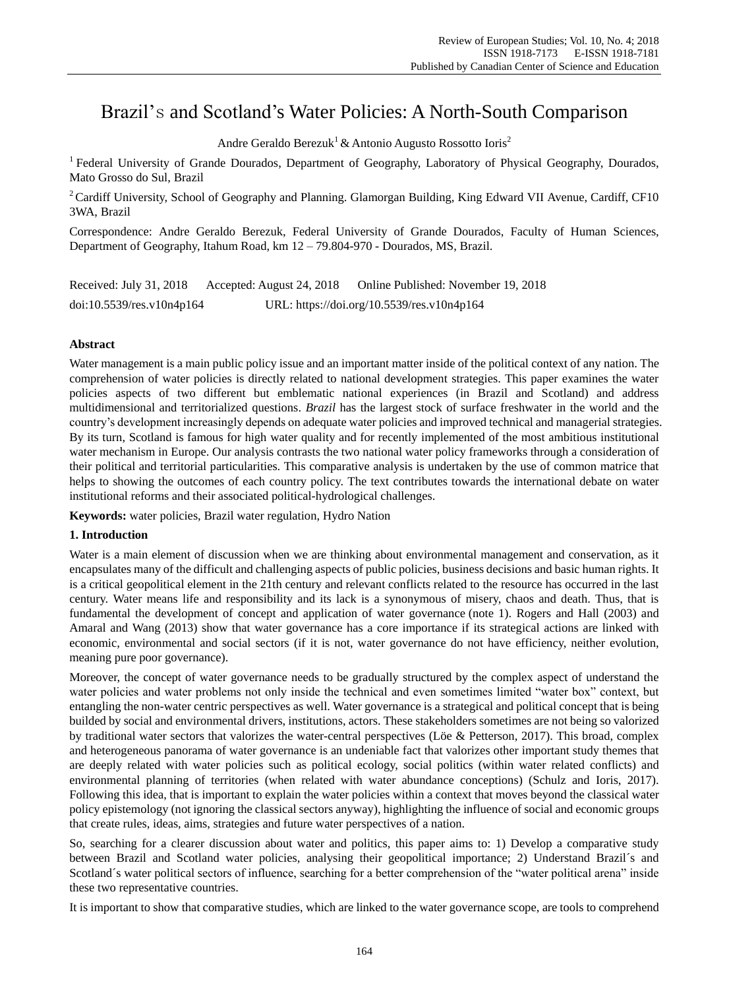# Brazil's and Scotland's Water Policies: A North-South Comparison

Andre Geraldo Berezuk<sup>1</sup> & Antonio Augusto Rossotto Ioris<sup>2</sup>

<sup>1</sup> Federal University of Grande Dourados, Department of Geography, Laboratory of Physical Geography, Dourados, Mato Grosso do Sul, Brazil

<sup>2</sup> Cardiff University, School of Geography and Planning. Glamorgan Building, King Edward VII Avenue, Cardiff, CF10 3WA, Brazil

Correspondence: Andre Geraldo Berezuk, Federal University of Grande Dourados, Faculty of Human Sciences, Department of Geography, Itahum Road, km 12 – 79.804-970 - Dourados, MS, Brazil.

Received: July 31, 2018 Accepted: August 24, 2018 Online Published: November 19, 2018 doi:10.5539/res.v10n4p164 URL: https://doi.org/10.5539/res.v10n4p164

## **Abstract**

Water management is a main public policy issue and an important matter inside of the political context of any nation. The comprehension of water policies is directly related to national development strategies. This paper examines the water policies aspects of two different but emblematic national experiences (in Brazil and Scotland) and address multidimensional and territorialized questions. *Brazil* has the largest stock of surface freshwater in the world and the country's development increasingly depends on adequate water policies and improved technical and managerial strategies. By its turn, Scotland is famous for high water quality and for recently implemented of the most ambitious institutional water mechanism in Europe. Our analysis contrasts the two national water policy frameworks through a consideration of their political and territorial particularities. This comparative analysis is undertaken by the use of common matrice that helps to showing the outcomes of each country policy. The text contributes towards the international debate on water institutional reforms and their associated political-hydrological challenges.

**Keywords:** water policies, Brazil water regulation, Hydro Nation

### **1. Introduction**

Water is a main element of discussion when we are thinking about environmental management and conservation, as it encapsulates many of the difficult and challenging aspects of public policies, business decisions and basic human rights. It is a critical geopolitical element in the 21th century and relevant conflicts related to the resource has occurred in the last century. Water means life and responsibility and its lack is a synonymous of misery, chaos and death. Thus, that is fundamental the development of concept and application of water governance (note 1). Rogers and Hall (2003) and Amaral and Wang (2013) show that water governance has a core importance if its strategical actions are linked with economic, environmental and social sectors (if it is not, water governance do not have efficiency, neither evolution, meaning pure poor governance).

Moreover, the concept of water governance needs to be gradually structured by the complex aspect of understand the water policies and water problems not only inside the technical and even sometimes limited "water box" context, but entangling the non-water centric perspectives as well. Water governance is a strategical and political concept that is being builded by social and environmental drivers, institutions, actors. These stakeholders sometimes are not being so valorized by traditional water sectors that valorizes the water-central perspectives (Löe & Petterson, 2017). This broad, complex and heterogeneous panorama of water governance is an undeniable fact that valorizes other important study themes that are deeply related with water policies such as political ecology, social politics (within water related conflicts) and environmental planning of territories (when related with water abundance conceptions) (Schulz and Ioris, 2017). Following this idea, that is important to explain the water policies within a context that moves beyond the classical water policy epistemology (not ignoring the classical sectors anyway), highlighting the influence of social and economic groups that create rules, ideas, aims, strategies and future water perspectives of a nation.

So, searching for a clearer discussion about water and politics, this paper aims to: 1) Develop a comparative study between Brazil and Scotland water policies, analysing their geopolitical importance; 2) Understand Brazil´s and Scotland  $\acute{\text{s}}$  water political sectors of influence, searching for a better comprehension of the "water political arena" inside these two representative countries.

It is important to show that comparative studies, which are linked to the water governance scope, are tools to comprehend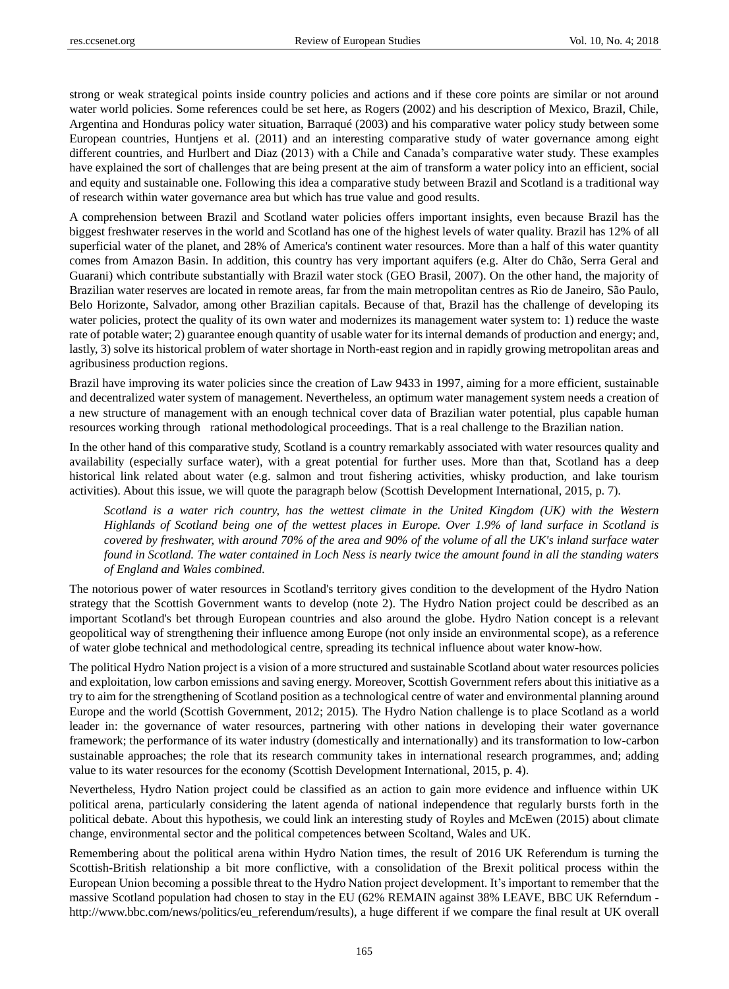strong or weak strategical points inside country policies and actions and if these core points are similar or not around water world policies. Some references could be set here, as Rogers (2002) and his description of Mexico, Brazil, Chile, Argentina and Honduras policy water situation, Barraqué (2003) and his comparative water policy study between some European countries, Huntjens et al. (2011) and an interesting comparative study of water governance among eight different countries, and Hurlbert and Diaz (2013) with a Chile and Canada's comparative water study. These examples have explained the sort of challenges that are being present at the aim of transform a water policy into an efficient, social and equity and sustainable one. Following this idea a comparative study between Brazil and Scotland is a traditional way of research within water governance area but which has true value and good results.

A comprehension between Brazil and Scotland water policies offers important insights, even because Brazil has the biggest freshwater reserves in the world and Scotland has one of the highest levels of water quality. Brazil has 12% of all superficial water of the planet, and 28% of America's continent water resources. More than a half of this water quantity comes from Amazon Basin. In addition, this country has very important aquifers (e.g. Alter do Chão, Serra Geral and Guarani) which contribute substantially with Brazil water stock (GEO Brasil, 2007). On the other hand, the majority of Brazilian water reserves are located in remote areas, far from the main metropolitan centres as Rio de Janeiro, São Paulo, Belo Horizonte, Salvador, among other Brazilian capitals. Because of that, Brazil has the challenge of developing its water policies, protect the quality of its own water and modernizes its management water system to: 1) reduce the waste rate of potable water; 2) guarantee enough quantity of usable water for its internal demands of production and energy; and, lastly, 3) solve its historical problem of water shortage in North-east region and in rapidly growing metropolitan areas and agribusiness production regions.

Brazil have improving its water policies since the creation of Law 9433 in 1997, aiming for a more efficient, sustainable and decentralized water system of management. Nevertheless, an optimum water management system needs a creation of a new structure of management with an enough technical cover data of Brazilian water potential, plus capable human resources working through rational methodological proceedings. That is a real challenge to the Brazilian nation.

In the other hand of this comparative study, Scotland is a country remarkably associated with water resources quality and availability (especially surface water), with a great potential for further uses. More than that, Scotland has a deep historical link related about water (e.g. salmon and trout fishering activities, whisky production, and lake tourism activities). About this issue, we will quote the paragraph below (Scottish Development International, 2015, p. 7).

*Scotland is a water rich country, has the wettest climate in the United Kingdom (UK) with the Western Highlands of Scotland being one of the wettest places in Europe. Over 1.9% of land surface in Scotland is covered by freshwater, with around 70% of the area and 90% of the volume of all the UK's inland surface water found in Scotland. The water contained in Loch Ness is nearly twice the amount found in all the standing waters of England and Wales combined.* 

The notorious power of water resources in Scotland's territory gives condition to the development of the Hydro Nation strategy that the Scottish Government wants to develop (note 2). The Hydro Nation project could be described as an important Scotland's bet through European countries and also around the globe. Hydro Nation concept is a relevant geopolitical way of strengthening their influence among Europe (not only inside an environmental scope), as a reference of water globe technical and methodological centre, spreading its technical influence about water know-how.

The political Hydro Nation project is a vision of a more structured and sustainable Scotland about water resources policies and exploitation, low carbon emissions and saving energy. Moreover, Scottish Government refers about this initiative as a try to aim for the strengthening of Scotland position as a technological centre of water and environmental planning around Europe and the world (Scottish Government, 2012; 2015). The Hydro Nation challenge is to place Scotland as a world leader in: the governance of water resources, partnering with other nations in developing their water governance framework; the performance of its water industry (domestically and internationally) and its transformation to low-carbon sustainable approaches; the role that its research community takes in international research programmes, and; adding value to its water resources for the economy (Scottish Development International, 2015, p. 4).

Nevertheless, Hydro Nation project could be classified as an action to gain more evidence and influence within UK political arena, particularly considering the latent agenda of national independence that regularly bursts forth in the political debate. About this hypothesis, we could link an interesting study of Royles and McEwen (2015) about climate change, environmental sector and the political competences between Scoltand, Wales and UK.

Remembering about the political arena within Hydro Nation times, the result of 2016 UK Referendum is turning the Scottish-British relationship a bit more conflictive, with a consolidation of the Brexit political process within the European Union becoming a possible threat to the Hydro Nation project development. It's important to remember that the massive Scotland population had chosen to stay in the EU (62% REMAIN against 38% LEAVE, BBC UK Referndum [http://www.bbc.com/news/politics/eu\\_referendum/results\)](http://www.bbc.com/news/politics/eu_referendum/results), a huge different if we compare the final result at UK overall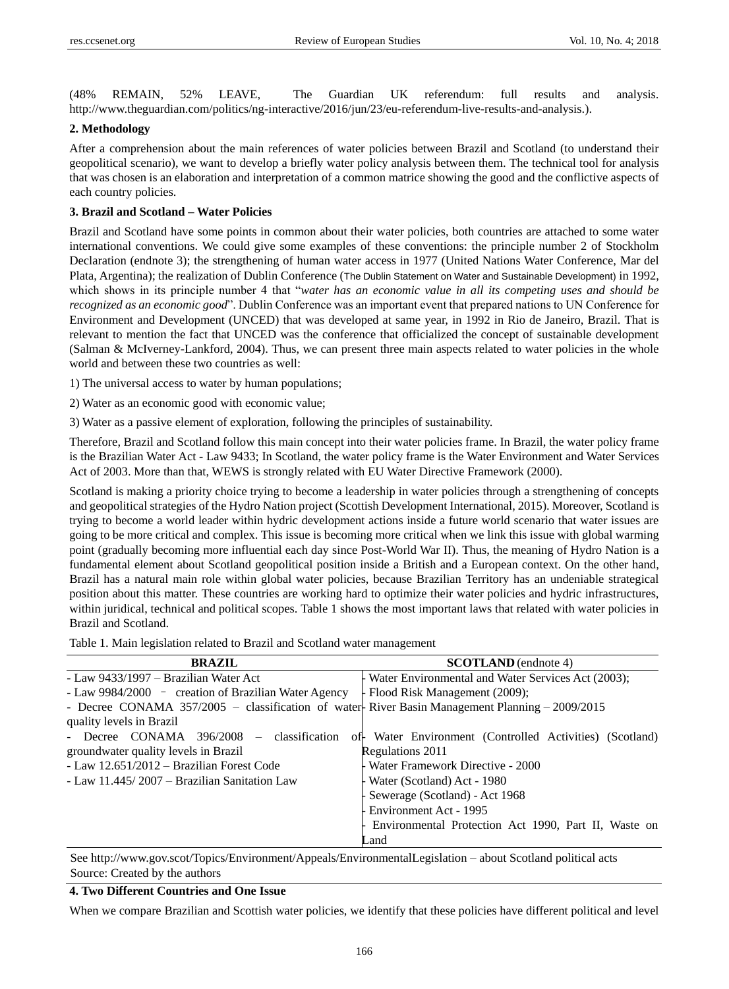(48% REMAIN, 52% LEAVE, The Guardian UK referendum: full results and analysis. [http://www.theguardian.com/politics/ng-interactive/2016/jun/23/eu-referendum-live-results-and-analysis.\)](http://www.theguardian.com/politics/ng-interactive/2016/jun/23/eu-referendum-live-results-and-analysis).

## **2. Methodology**

After a comprehension about the main references of water policies between Brazil and Scotland (to understand their geopolitical scenario), we want to develop a briefly water policy analysis between them. The technical tool for analysis that was chosen is an elaboration and interpretation of a common matrice showing the good and the conflictive aspects of each country policies.

# **3. Brazil and Scotland – Water Policies**

Brazil and Scotland have some points in common about their water policies, both countries are attached to some water international conventions. We could give some examples of these conventions: the principle number 2 of Stockholm Declaration (endnote 3); the strengthening of human water access in 1977 (United Nations Water Conference, Mar del Plata, Argentina); the realization of Dublin Conference (The Dublin Statement on Water and Sustainable Development) in 1992, which shows in its principle number 4 that "*water has an economic value in all its competing uses and should be recognized as an economic good*". Dublin Conference was an important event that prepared nations to UN Conference for Environment and Development (UNCED) that was developed at same year, in 1992 in Rio de Janeiro, Brazil. That is relevant to mention the fact that UNCED was the conference that officialized the concept of sustainable development (Salman & McIverney-Lankford, 2004). Thus, we can present three main aspects related to water policies in the whole world and between these two countries as well:

1) The universal access to water by human populations;

2) Water as an economic good with economic value;

3) Water as a passive element of exploration, following the principles of sustainability.

Therefore, Brazil and Scotland follow this main concept into their water policies frame. In Brazil, the water policy frame is the Brazilian Water Act - Law 9433; In Scotland, the water policy frame is the Water Environment and Water Services Act of 2003. More than that, WEWS is strongly related with EU Water Directive Framework (2000).

Scotland is making a priority choice trying to become a leadership in water policies through a strengthening of concepts and geopolitical strategies of the Hydro Nation project (Scottish Development International, 2015). Moreover, Scotland is trying to become a world leader within hydric development actions inside a future world scenario that water issues are going to be more critical and complex. This issue is becoming more critical when we link this issue with global warming point (gradually becoming more influential each day since Post-World War II). Thus, the meaning of Hydro Nation is a fundamental element about Scotland geopolitical position inside a British and a European context. On the other hand, Brazil has a natural main role within global water policies, because Brazilian Territory has an undeniable strategical position about this matter. These countries are working hard to optimize their water policies and hydric infrastructures, within juridical, technical and political scopes. Table 1 shows the most important laws that related with water policies in Brazil and Scotland.

Table 1. Main legislation related to Brazil and Scotland water management

| <b>BRAZIL</b>                                                                                  | <b>SCOTLAND</b> (endnote 4)                             |
|------------------------------------------------------------------------------------------------|---------------------------------------------------------|
| - Law 9433/1997 – Brazilian Water Act                                                          | - Water Environmental and Water Services Act (2003);    |
| - Law 9984/2000 - creation of Brazilian Water Agency                                           | - Flood Risk Management (2009);                         |
| - Decree CONAMA 357/2005 – classification of water-River Basin Management Planning – 2009/2015 |                                                         |
| quality levels in Brazil                                                                       |                                                         |
| - Decree CONAMA 396/2008 – classification                                                      | of Water Environment (Controlled Activities) (Scotland) |
| groundwater quality levels in Brazil                                                           | Regulations 2011                                        |
| - Law 12.651/2012 – Brazilian Forest Code                                                      | - Water Framework Directive - 2000                      |
| - Law 11.445/2007 – Brazilian Sanitation Law                                                   | - Water (Scotland) Act - 1980                           |
|                                                                                                | - Sewerage (Scotland) - Act 1968                        |
|                                                                                                | Environment Act - 1995                                  |
|                                                                                                | - Environmental Protection Act 1990, Part II, Waste on  |
|                                                                                                | Land                                                    |

See<http://www.gov.scot/Topics/Environment/Appeals/EnvironmentalLegislation> – about Scotland political acts Source: Created by the authors

# **4. Two Different Countries and One Issue**

When we compare Brazilian and Scottish water policies, we identify that these policies have different political and level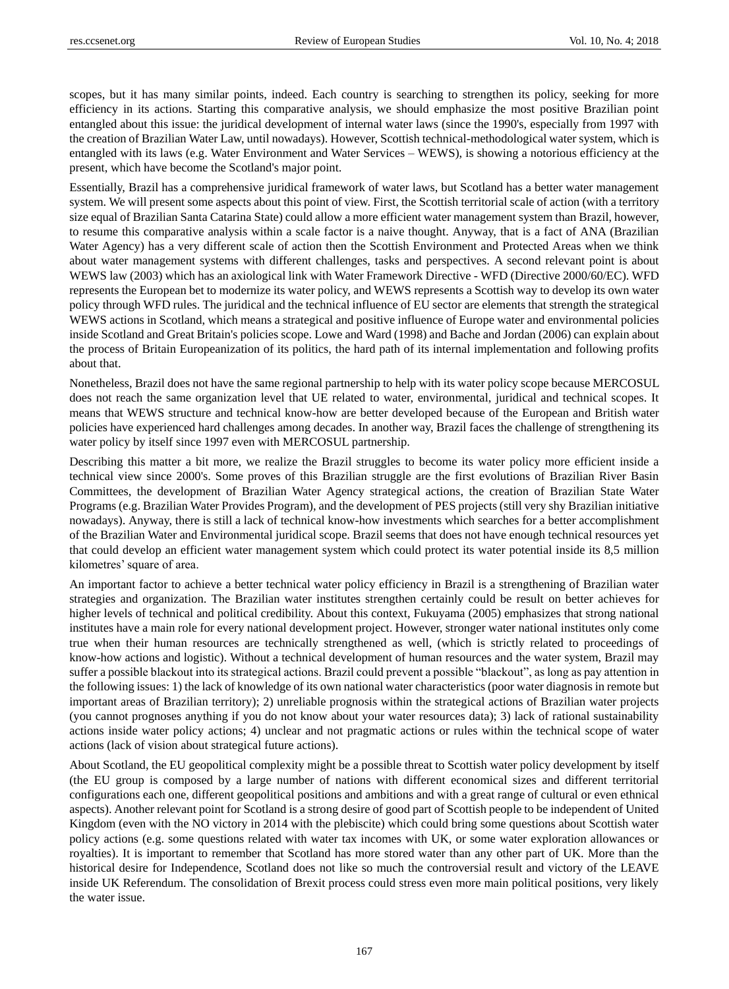scopes, but it has many similar points, indeed. Each country is searching to strengthen its policy, seeking for more efficiency in its actions. Starting this comparative analysis, we should emphasize the most positive Brazilian point entangled about this issue: the juridical development of internal water laws (since the 1990's, especially from 1997 with the creation of Brazilian Water Law, until nowadays). However, Scottish technical-methodological water system, which is entangled with its laws (e.g. Water Environment and Water Services – WEWS), is showing a notorious efficiency at the present, which have become the Scotland's major point.

Essentially, Brazil has a comprehensive juridical framework of water laws, but Scotland has a better water management system. We will present some aspects about this point of view. First, the Scottish territorial scale of action (with a territory size equal of Brazilian Santa Catarina State) could allow a more efficient water management system than Brazil, however, to resume this comparative analysis within a scale factor is a naive thought. Anyway, that is a fact of ANA (Brazilian Water Agency) has a very different scale of action then the Scottish Environment and Protected Areas when we think about water management systems with different challenges, tasks and perspectives. A second relevant point is about WEWS law (2003) which has an axiological link with Water Framework Directive - WFD (Directive 2000/60/EC). WFD represents the European bet to modernize its water policy, and WEWS represents a Scottish way to develop its own water policy through WFD rules. The juridical and the technical influence of EU sector are elements that strength the strategical WEWS actions in Scotland, which means a strategical and positive influence of Europe water and environmental policies inside Scotland and Great Britain's policies scope. Lowe and Ward (1998) and Bache and Jordan (2006) can explain about the process of Britain Europeanization of its politics, the hard path of its internal implementation and following profits about that.

Nonetheless, Brazil does not have the same regional partnership to help with its water policy scope because MERCOSUL does not reach the same organization level that UE related to water, environmental, juridical and technical scopes. It means that WEWS structure and technical know-how are better developed because of the European and British water policies have experienced hard challenges among decades. In another way, Brazil faces the challenge of strengthening its water policy by itself since 1997 even with MERCOSUL partnership.

Describing this matter a bit more, we realize the Brazil struggles to become its water policy more efficient inside a technical view since 2000's. Some proves of this Brazilian struggle are the first evolutions of Brazilian River Basin Committees, the development of Brazilian Water Agency strategical actions, the creation of Brazilian State Water Programs (e.g. Brazilian Water Provides Program), and the development of PES projects (still very shy Brazilian initiative nowadays). Anyway, there is still a lack of technical know-how investments which searches for a better accomplishment of the Brazilian Water and Environmental juridical scope. Brazil seems that does not have enough technical resources yet that could develop an efficient water management system which could protect its water potential inside its 8,5 million kilometres' square of area.

An important factor to achieve a better technical water policy efficiency in Brazil is a strengthening of Brazilian water strategies and organization. The Brazilian water institutes strengthen certainly could be result on better achieves for higher levels of technical and political credibility. About this context, Fukuyama (2005) emphasizes that strong national institutes have a main role for every national development project. However, stronger water national institutes only come true when their human resources are technically strengthened as well, (which is strictly related to proceedings of know-how actions and logistic). Without a technical development of human resources and the water system, Brazil may suffer a possible blackout into its strategical actions. Brazil could prevent a possible "blackout", as long as pay attention in the following issues: 1) the lack of knowledge of its own national water characteristics (poor water diagnosis in remote but important areas of Brazilian territory); 2) unreliable prognosis within the strategical actions of Brazilian water projects (you cannot prognoses anything if you do not know about your water resources data); 3) lack of rational sustainability actions inside water policy actions; 4) unclear and not pragmatic actions or rules within the technical scope of water actions (lack of vision about strategical future actions).

About Scotland, the EU geopolitical complexity might be a possible threat to Scottish water policy development by itself (the EU group is composed by a large number of nations with different economical sizes and different territorial configurations each one, different geopolitical positions and ambitions and with a great range of cultural or even ethnical aspects). Another relevant point for Scotland is a strong desire of good part of Scottish people to be independent of United Kingdom (even with the NO victory in 2014 with the plebiscite) which could bring some questions about Scottish water policy actions (e.g. some questions related with water tax incomes with UK, or some water exploration allowances or royalties). It is important to remember that Scotland has more stored water than any other part of UK. More than the historical desire for Independence, Scotland does not like so much the controversial result and victory of the LEAVE inside UK Referendum. The consolidation of Brexit process could stress even more main political positions, very likely the water issue.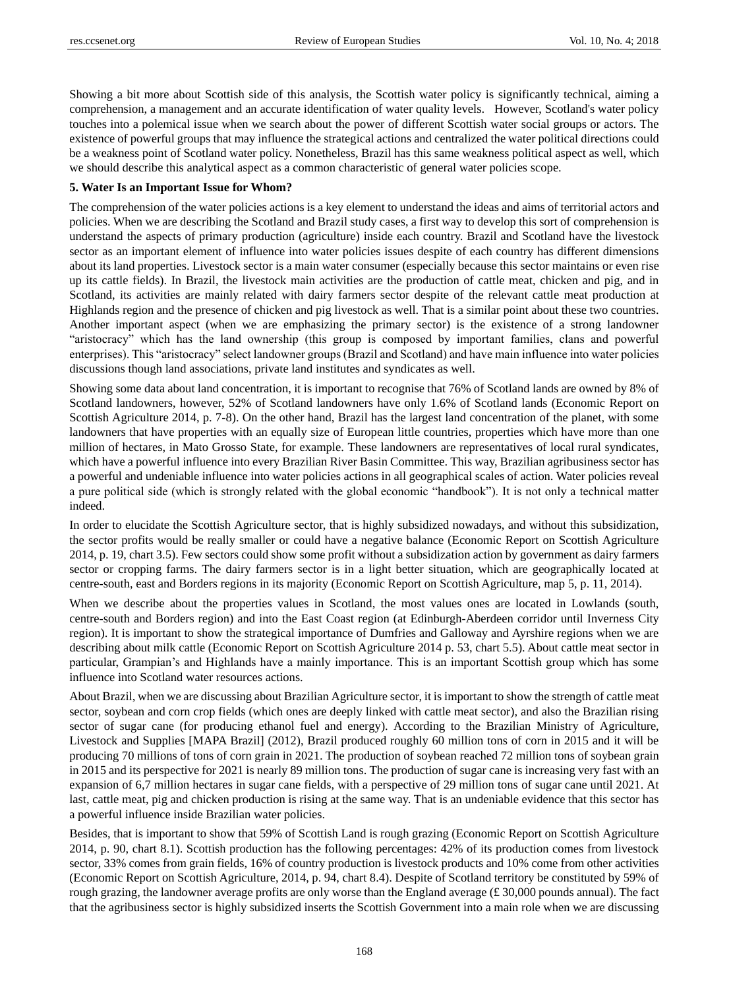Showing a bit more about Scottish side of this analysis, the Scottish water policy is significantly technical, aiming a comprehension, a management and an accurate identification of water quality levels. However, Scotland's water policy touches into a polemical issue when we search about the power of different Scottish water social groups or actors. The existence of powerful groups that may influence the strategical actions and centralized the water political directions could be a weakness point of Scotland water policy. Nonetheless, Brazil has this same weakness political aspect as well, which we should describe this analytical aspect as a common characteristic of general water policies scope.

#### **5. Water Is an Important Issue for Whom?**

The comprehension of the water policies actions is a key element to understand the ideas and aims of territorial actors and policies. When we are describing the Scotland and Brazil study cases, a first way to develop this sort of comprehension is understand the aspects of primary production (agriculture) inside each country. Brazil and Scotland have the livestock sector as an important element of influence into water policies issues despite of each country has different dimensions about its land properties. Livestock sector is a main water consumer (especially because this sector maintains or even rise up its cattle fields). In Brazil, the livestock main activities are the production of cattle meat, chicken and pig, and in Scotland, its activities are mainly related with dairy farmers sector despite of the relevant cattle meat production at Highlands region and the presence of chicken and pig livestock as well. That is a similar point about these two countries. Another important aspect (when we are emphasizing the primary sector) is the existence of a strong landowner "aristocracy" which has the land ownership (this group is composed by important families, clans and powerful enterprises). This "aristocracy" select landowner groups (Brazil and Scotland) and have main influence into water policies discussions though land associations, private land institutes and syndicates as well.

Showing some data about land concentration, it is important to recognise that 76% of Scotland lands are owned by 8% of Scotland landowners, however, 52% of Scotland landowners have only 1.6% of Scotland lands (Economic Report on Scottish Agriculture 2014, p. 7-8). On the other hand, Brazil has the largest land concentration of the planet, with some landowners that have properties with an equally size of European little countries, properties which have more than one million of hectares, in Mato Grosso State, for example. These landowners are representatives of local rural syndicates, which have a powerful influence into every Brazilian River Basin Committee. This way, Brazilian agribusiness sector has a powerful and undeniable influence into water policies actions in all geographical scales of action. Water policies reveal a pure political side (which is strongly related with the global economic "handbook"). It is not only a technical matter indeed.

In order to elucidate the Scottish Agriculture sector, that is highly subsidized nowadays, and without this subsidization, the sector profits would be really smaller or could have a negative balance (Economic Report on Scottish Agriculture 2014, p. 19, chart 3.5). Few sectors could show some profit without a subsidization action by government as dairy farmers sector or cropping farms. The dairy farmers sector is in a light better situation, which are geographically located at centre-south, east and Borders regions in its majority (Economic Report on Scottish Agriculture, map 5, p. 11, 2014).

When we describe about the properties values in Scotland, the most values ones are located in Lowlands (south, centre-south and Borders region) and into the East Coast region (at Edinburgh-Aberdeen corridor until Inverness City region). It is important to show the strategical importance of Dumfries and Galloway and Ayrshire regions when we are describing about milk cattle (Economic Report on Scottish Agriculture 2014 p. 53, chart 5.5). About cattle meat sector in particular, Grampian's and Highlands have a mainly importance. This is an important Scottish group which has some influence into Scotland water resources actions.

About Brazil, when we are discussing about Brazilian Agriculture sector, it is important to show the strength of cattle meat sector, soybean and corn crop fields (which ones are deeply linked with cattle meat sector), and also the Brazilian rising sector of sugar cane (for producing ethanol fuel and energy). According to the Brazilian Ministry of Agriculture, Livestock and Supplies [MAPA Brazil] (2012), Brazil produced roughly 60 million tons of corn in 2015 and it will be producing 70 millions of tons of corn grain in 2021. The production of soybean reached 72 million tons of soybean grain in 2015 and its perspective for 2021 is nearly 89 million tons. The production of sugar cane is increasing very fast with an expansion of 6,7 million hectares in sugar cane fields, with a perspective of 29 million tons of sugar cane until 2021. At last, cattle meat, pig and chicken production is rising at the same way. That is an undeniable evidence that this sector has a powerful influence inside Brazilian water policies.

Besides, that is important to show that 59% of Scottish Land is rough grazing (Economic Report on Scottish Agriculture 2014, p. 90, chart 8.1). Scottish production has the following percentages: 42% of its production comes from livestock sector, 33% comes from grain fields, 16% of country production is livestock products and 10% come from other activities (Economic Report on Scottish Agriculture, 2014, p. 94, chart 8.4). Despite of Scotland territory be constituted by 59% of rough grazing, the landowner average profits are only worse than the England average  $(\text{\pounds}30,000$  pounds annual). The fact that the agribusiness sector is highly subsidized inserts the Scottish Government into a main role when we are discussing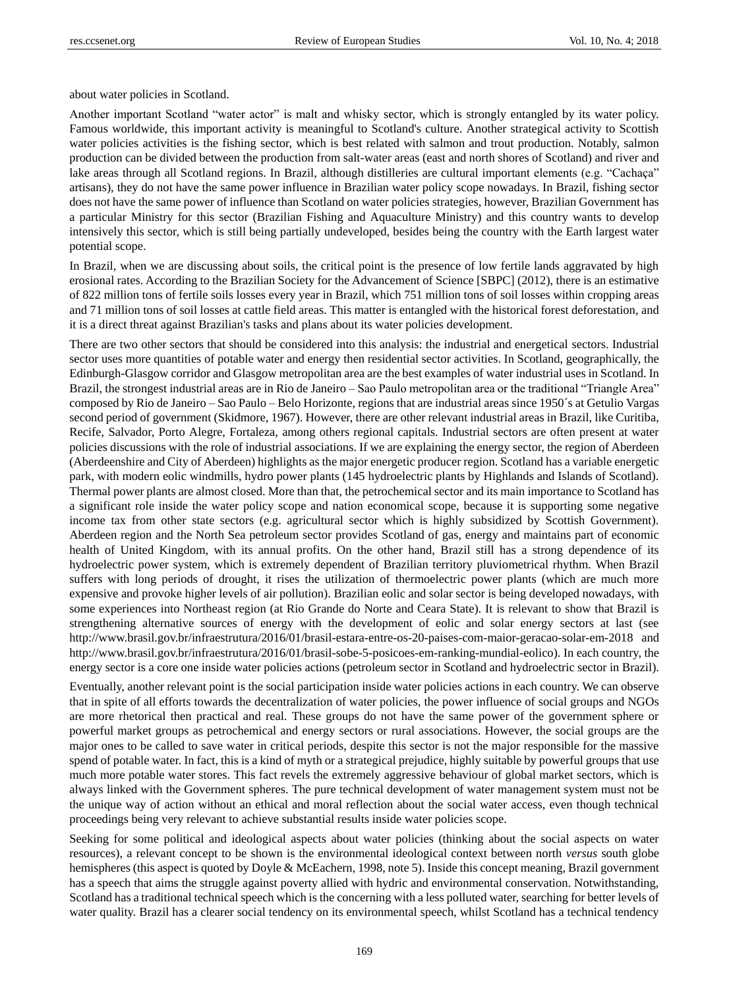about water policies in Scotland.

Another important Scotland "water actor" is malt and whisky sector, which is strongly entangled by its water policy. Famous worldwide, this important activity is meaningful to Scotland's culture. Another strategical activity to Scottish water policies activities is the fishing sector, which is best related with salmon and trout production. Notably, salmon production can be divided between the production from salt-water areas (east and north shores of Scotland) and river and lake areas through all Scotland regions. In Brazil, although distilleries are cultural important elements (e.g. "Cachaça" artisans), they do not have the same power influence in Brazilian water policy scope nowadays. In Brazil, fishing sector does not have the same power of influence than Scotland on water policies strategies, however, Brazilian Government has a particular Ministry for this sector (Brazilian Fishing and Aquaculture Ministry) and this country wants to develop intensively this sector, which is still being partially undeveloped, besides being the country with the Earth largest water potential scope.

In Brazil, when we are discussing about soils, the critical point is the presence of low fertile lands aggravated by high erosional rates. According to the Brazilian Society for the Advancement of Science [SBPC] (2012), there is an estimative of 822 million tons of fertile soils losses every year in Brazil, which 751 million tons of soil losses within cropping areas and 71 million tons of soil losses at cattle field areas. This matter is entangled with the historical forest deforestation, and it is a direct threat against Brazilian's tasks and plans about its water policies development.

There are two other sectors that should be considered into this analysis: the industrial and energetical sectors. Industrial sector uses more quantities of potable water and energy then residential sector activities. In Scotland, geographically, the Edinburgh-Glasgow corridor and Glasgow metropolitan area are the best examples of water industrial uses in Scotland. In Brazil, the strongest industrial areas are in Rio de Janeiro – Sao Paulo metropolitan area or the traditional "Triangle Area" composed by Rio de Janeiro – Sao Paulo – Belo Horizonte, regions that are industrial areas since 1950´s at Getulio Vargas second period of government (Skidmore, 1967). However, there are other relevant industrial areas in Brazil, like Curitiba, Recife, Salvador, Porto Alegre, Fortaleza, among others regional capitals. Industrial sectors are often present at water policies discussions with the role of industrial associations. If we are explaining the energy sector, the region of Aberdeen (Aberdeenshire and City of Aberdeen) highlights as the major energetic producer region. Scotland has a variable energetic park, with modern eolic windmills, hydro power plants (145 hydroelectric plants by Highlands and Islands of Scotland). Thermal power plants are almost closed. More than that, the petrochemical sector and its main importance to Scotland has a significant role inside the water policy scope and nation economical scope, because it is supporting some negative income tax from other state sectors (e.g. agricultural sector which is highly subsidized by Scottish Government). Aberdeen region and the North Sea petroleum sector provides Scotland of gas, energy and maintains part of economic health of United Kingdom, with its annual profits. On the other hand, Brazil still has a strong dependence of its hydroelectric power system, which is extremely dependent of Brazilian territory pluviometrical rhythm. When Brazil suffers with long periods of drought, it rises the utilization of thermoelectric power plants (which are much more expensive and provoke higher levels of air pollution). Brazilian eolic and solar sector is being developed nowadays, with some experiences into Northeast region (at Rio Grande do Norte and Ceara State). It is relevant to show that Brazil is strengthening alternative sources of energy with the development of eolic and solar energy sectors at last (see <http://www.brasil.gov.br/infraestrutura/2016/01/brasil-estara-entre-os-20-paises-com-maior-geracao-solar-em-2018> and [http://www.brasil.gov.br/infraestrutura/2016/01/brasil-sobe-5-posicoes-em-ranking-mundial-eolico\)](http://www.brasil.gov.br/infraestrutura/2016/01/brasil-sobe-5-posicoes-em-ranking-mundial-eolico). In each country, the energy sector is a core one inside water policies actions (petroleum sector in Scotland and hydroelectric sector in Brazil).

Eventually, another relevant point is the social participation inside water policies actions in each country. We can observe that in spite of all efforts towards the decentralization of water policies, the power influence of social groups and NGOs are more rhetorical then practical and real. These groups do not have the same power of the government sphere or powerful market groups as petrochemical and energy sectors or rural associations. However, the social groups are the major ones to be called to save water in critical periods, despite this sector is not the major responsible for the massive spend of potable water. In fact, this is a kind of myth or a strategical prejudice, highly suitable by powerful groups that use much more potable water stores. This fact revels the extremely aggressive behaviour of global market sectors, which is always linked with the Government spheres. The pure technical development of water management system must not be the unique way of action without an ethical and moral reflection about the social water access, even though technical proceedings being very relevant to achieve substantial results inside water policies scope.

Seeking for some political and ideological aspects about water policies (thinking about the social aspects on water resources), a relevant concept to be shown is the environmental ideological context between north *versus* south globe hemispheres (this aspect is quoted by Doyle & McEachern, 1998, note 5). Inside this concept meaning, Brazil government has a speech that aims the struggle against poverty allied with hydric and environmental conservation. Notwithstanding, Scotland has a traditional technical speech which is the concerning with a less polluted water, searching for better levels of water quality. Brazil has a clearer social tendency on its environmental speech, whilst Scotland has a technical tendency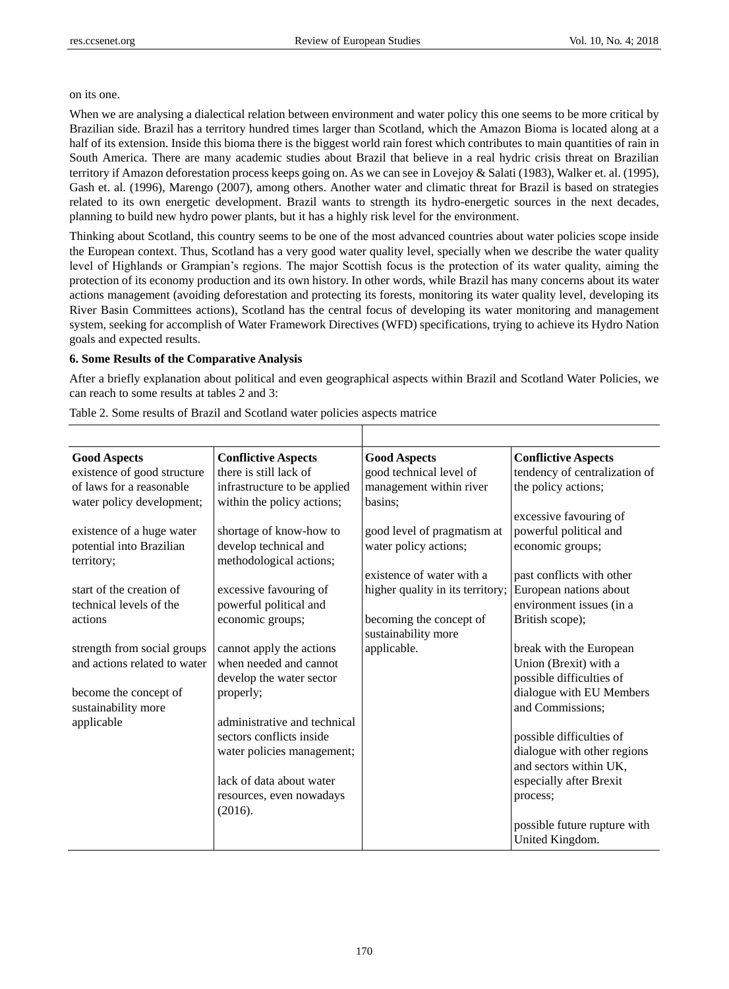#### on its one.

When we are analysing a dialectical relation between environment and water policy this one seems to be more critical by Brazilian side. Brazil has a territory hundred times larger than Scotland, which the Amazon Bioma is located along at a half of its extension. Inside this bioma there is the biggest world rain forest which contributes to main quantities of rain in South America. There are many academic studies about Brazil that believe in a real hydric crisis threat on Brazilian territory if Amazon deforestation process keeps going on. As we can see in Lovejoy & Salati (1983), Walker et. al. (1995), Gash et. al. (1996), Marengo (2007), among others. Another water and climatic threat for Brazil is based on strategies related to its own energetic development. Brazil wants to strength its hydro-energetic sources in the next decades, planning to build new hydro power plants, but it has a highly risk level for the environment.

Thinking about Scotland, this country seems to be one of the most advanced countries about water policies scope inside the European context. Thus, Scotland has a very good water quality level, specially when we describe the water quality level of Highlands or Grampian's regions. The major Scottish focus is the protection of its water quality, aiming the protection of its economy production and its own history. In other words, while Brazil has many concerns about its water actions management (avoiding deforestation and protecting its forests, monitoring its water quality level, developing its River Basin Committees actions), Scotland has the central focus of developing its water monitoring and management system, seeking for accomplish of Water Framework Directives (WFD) specifications, trying to achieve its Hydro Nation goals and expected results.

### **6. Some Results of the Comparative Analysis**

After a briefly explanation about political and even geographical aspects within Brazil and Scotland Water Policies, we can reach to some results at tables 2 and 3:

| <b>Good Aspects</b>                    | <b>Conflictive Aspects</b>                       | <b>Good Aspects</b>              | <b>Conflictive Aspects</b>    |
|----------------------------------------|--------------------------------------------------|----------------------------------|-------------------------------|
| existence of good structure            | there is still lack of                           | good technical level of          | tendency of centralization of |
| of laws for a reasonable               | infrastructure to be applied                     | management within river          | the policy actions;           |
| water policy development;              | within the policy actions;                       | basins:                          |                               |
|                                        |                                                  |                                  | excessive favouring of        |
| existence of a huge water              | shortage of know-how to                          | good level of pragmatism at      | powerful political and        |
| potential into Brazilian<br>territory; | develop technical and<br>methodological actions; | water policy actions;            | economic groups;              |
|                                        |                                                  | existence of water with a        | past conflicts with other     |
| start of the creation of               | excessive favouring of                           | higher quality in its territory; | European nations about        |
| technical levels of the                | powerful political and                           |                                  | environment issues (in a      |
| actions                                | economic groups;                                 | becoming the concept of          | British scope);               |
|                                        |                                                  | sustainability more              |                               |
| strength from social groups            | cannot apply the actions                         | applicable.                      | break with the European       |
| and actions related to water           | when needed and cannot                           |                                  | Union (Brexit) with a         |
|                                        | develop the water sector                         |                                  | possible difficulties of      |
| become the concept of                  | properly;                                        |                                  | dialogue with EU Members      |
| sustainability more                    |                                                  |                                  | and Commissions;              |
| applicable                             | administrative and technical                     |                                  |                               |
|                                        | sectors conflicts inside                         |                                  | possible difficulties of      |
|                                        | water policies management;                       |                                  | dialogue with other regions   |
|                                        |                                                  |                                  | and sectors within UK,        |
|                                        | lack of data about water                         |                                  | especially after Brexit       |
|                                        | resources, even nowadays                         |                                  | process;                      |
|                                        | (2016).                                          |                                  |                               |
|                                        |                                                  |                                  | possible future rupture with  |
|                                        |                                                  |                                  | United Kingdom.               |

Table 2. Some results of Brazil and Scotland water policies aspects matrice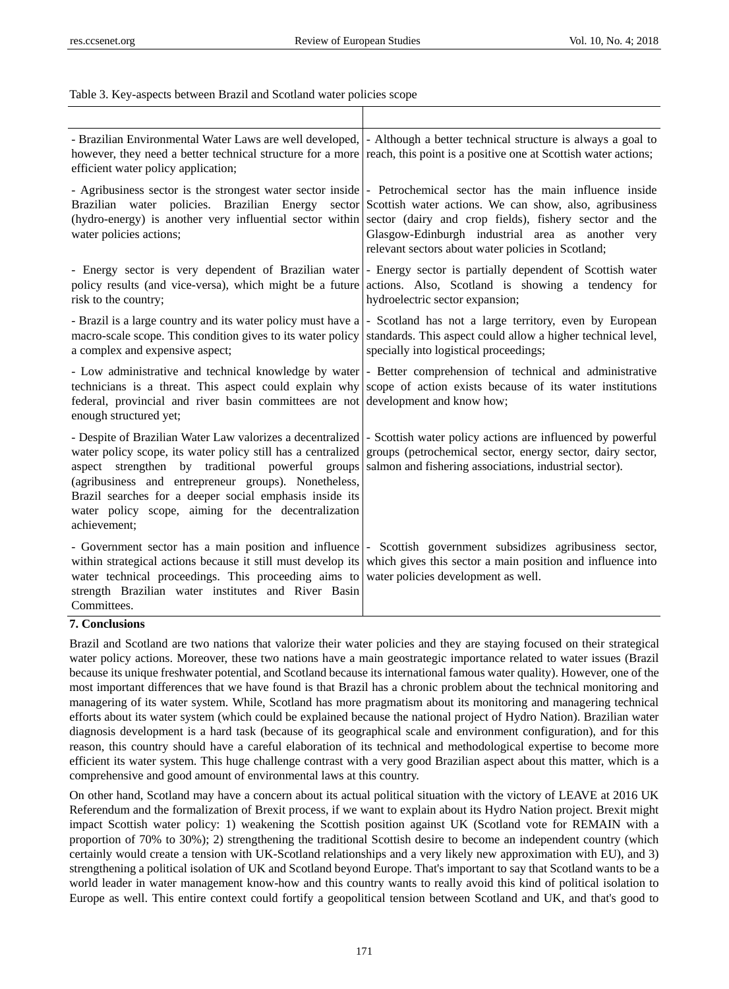Table 3. Key-aspects between Brazil and Scotland water policies scope

| efficient water policy application;                                                                                                                                                                                                                                                                                                                                                                                                                                                                                                                    | - Brazilian Environmental Water Laws are well developed,  - Although a better technical structure is always a goal to<br>however, they need a better technical structure for a more reach, this point is a positive one at Scottish water actions;                                                                                                                                                                                                          |
|--------------------------------------------------------------------------------------------------------------------------------------------------------------------------------------------------------------------------------------------------------------------------------------------------------------------------------------------------------------------------------------------------------------------------------------------------------------------------------------------------------------------------------------------------------|-------------------------------------------------------------------------------------------------------------------------------------------------------------------------------------------------------------------------------------------------------------------------------------------------------------------------------------------------------------------------------------------------------------------------------------------------------------|
| water policies actions;                                                                                                                                                                                                                                                                                                                                                                                                                                                                                                                                | - Agribusiness sector is the strongest water sector inside  - Petrochemical sector has the main influence inside<br>Brazilian water policies. Brazilian Energy sector Scottish water actions. We can show, also, agribusiness<br>(hydro-energy) is another very influential sector within sector (dairy and crop fields), fishery sector and the<br>Glasgow-Edinburgh industrial area as another very<br>relevant sectors about water policies in Scotland; |
| risk to the country;                                                                                                                                                                                                                                                                                                                                                                                                                                                                                                                                   | - Energy sector is very dependent of Brazilian water - Energy sector is partially dependent of Scottish water<br>policy results (and vice-versa), which might be a future actions. Also, Scotland is showing a tendency for<br>hydroelectric sector expansion;                                                                                                                                                                                              |
| macro-scale scope. This condition gives to its water policy<br>a complex and expensive aspect;                                                                                                                                                                                                                                                                                                                                                                                                                                                         | - Brazil is a large country and its water policy must have a - Scotland has not a large territory, even by European<br>standards. This aspect could allow a higher technical level,<br>specially into logistical proceedings;                                                                                                                                                                                                                               |
| federal, provincial and river basin committees are not development and know how;<br>enough structured yet;                                                                                                                                                                                                                                                                                                                                                                                                                                             | - Low administrative and technical knowledge by water  - Better comprehension of technical and administrative<br>technicians is a threat. This aspect could explain why scope of action exists because of its water institutions                                                                                                                                                                                                                            |
| - Despite of Brazilian Water Law valorizes a decentralized  - Scottish water policy actions are influenced by powerful<br>water policy scope, its water policy still has a centralized groups (petrochemical sector, energy sector, dairy sector,<br>aspect strengthen by traditional powerful groups salmon and fishering associations, industrial sector).<br>(agribusiness and entrepreneur groups). Nonetheless,<br>Brazil searches for a deeper social emphasis inside its<br>water policy scope, aiming for the decentralization<br>achievement; |                                                                                                                                                                                                                                                                                                                                                                                                                                                             |
| water technical proceedings. This proceeding aims to water policies development as well.<br>strength Brazilian water institutes and River Basin<br>Committees.                                                                                                                                                                                                                                                                                                                                                                                         | - Government sector has a main position and influence  - Scottish government subsidizes agribusiness sector,<br>within strategical actions because it still must develop its which gives this sector a main position and influence into                                                                                                                                                                                                                     |

#### **7. Conclusions**

Brazil and Scotland are two nations that valorize their water policies and they are staying focused on their strategical water policy actions. Moreover, these two nations have a main geostrategic importance related to water issues (Brazil because its unique freshwater potential, and Scotland because its international famous water quality). However, one of the most important differences that we have found is that Brazil has a chronic problem about the technical monitoring and managering of its water system. While, Scotland has more pragmatism about its monitoring and managering technical efforts about its water system (which could be explained because the national project of Hydro Nation). Brazilian water diagnosis development is a hard task (because of its geographical scale and environment configuration), and for this reason, this country should have a careful elaboration of its technical and methodological expertise to become more efficient its water system. This huge challenge contrast with a very good Brazilian aspect about this matter, which is a comprehensive and good amount of environmental laws at this country.

On other hand, Scotland may have a concern about its actual political situation with the victory of LEAVE at 2016 UK Referendum and the formalization of Brexit process, if we want to explain about its Hydro Nation project. Brexit might impact Scottish water policy: 1) weakening the Scottish position against UK (Scotland vote for REMAIN with a proportion of 70% to 30%); 2) strengthening the traditional Scottish desire to become an independent country (which certainly would create a tension with UK-Scotland relationships and a very likely new approximation with EU), and 3) strengthening a political isolation of UK and Scotland beyond Europe. That's important to say that Scotland wants to be a world leader in water management know-how and this country wants to really avoid this kind of political isolation to Europe as well. This entire context could fortify a geopolitical tension between Scotland and UK, and that's good to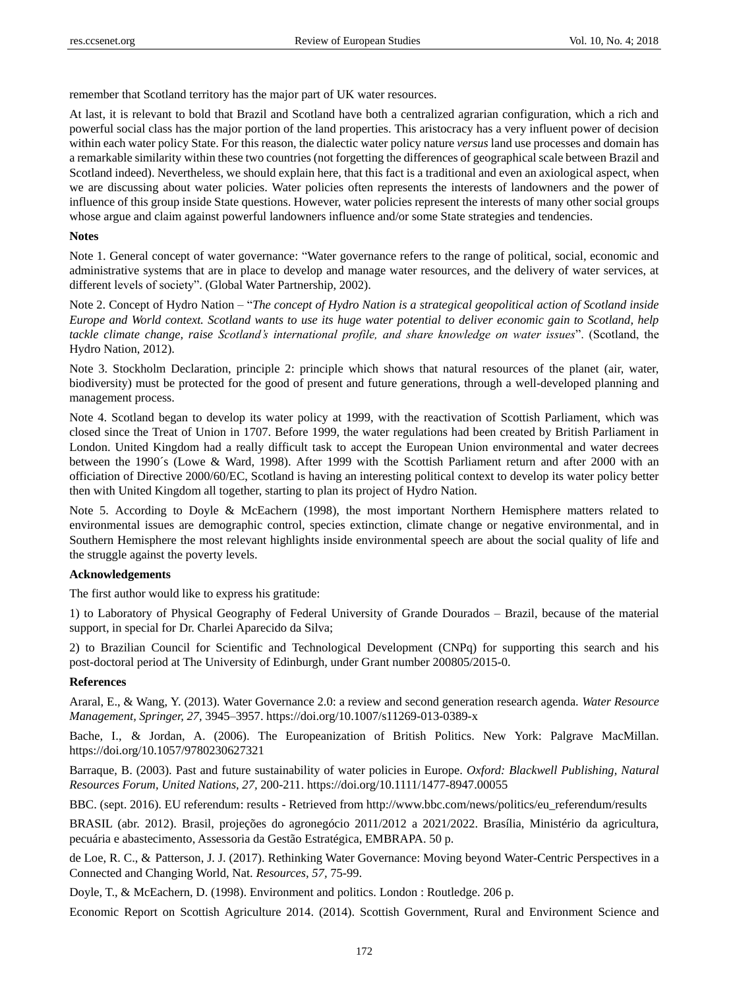remember that Scotland territory has the major part of UK water resources.

At last, it is relevant to bold that Brazil and Scotland have both a centralized agrarian configuration, which a rich and powerful social class has the major portion of the land properties. This aristocracy has a very influent power of decision within each water policy State. For this reason, the dialectic water policy nature *versus* land use processes and domain has a remarkable similarity within these two countries (not forgetting the differences of geographical scale between Brazil and Scotland indeed). Nevertheless, we should explain here, that this fact is a traditional and even an axiological aspect, when we are discussing about water policies. Water policies often represents the interests of landowners and the power of influence of this group inside State questions. However, water policies represent the interests of many other social groups whose argue and claim against powerful landowners influence and/or some State strategies and tendencies.

#### **Notes**

Note 1. General concept of water governance: "Water governance refers to the range of political, social, economic and administrative systems that are in place to develop and manage water resources, and the delivery of water services, at different levels of society". (Global Water Partnership, 2002).

Note 2. Concept of Hydro Nation – "*The concept of Hydro Nation is a strategical geopolitical action of Scotland inside Europe and World context. Scotland wants to use its huge water potential to deliver economic gain to Scotland, help tackle climate change, raise Scotland's international profile, and share knowledge on water issues*". (Scotland, the Hydro Nation, 2012).

Note 3. Stockholm Declaration, principle 2: principle which shows that natural resources of the planet (air, water, biodiversity) must be protected for the good of present and future generations, through a well-developed planning and management process.

Note 4. Scotland began to develop its water policy at 1999, with the reactivation of Scottish Parliament, which was closed since the Treat of Union in 1707. Before 1999, the water regulations had been created by British Parliament in London. United Kingdom had a really difficult task to accept the European Union environmental and water decrees between the 1990´s (Lowe & Ward, 1998). After 1999 with the Scottish Parliament return and after 2000 with an officiation of Directive 2000/60/EC, Scotland is having an interesting political context to develop its water policy better then with United Kingdom all together, starting to plan its project of Hydro Nation.

Note 5. According to Doyle & McEachern (1998), the most important Northern Hemisphere matters related to environmental issues are demographic control, species extinction, climate change or negative environmental, and in Southern Hemisphere the most relevant highlights inside environmental speech are about the social quality of life and the struggle against the poverty levels.

### **Acknowledgements**

The first author would like to express his gratitude:

1) to Laboratory of Physical Geography of Federal University of Grande Dourados – Brazil, because of the material support, in special for Dr. Charlei Aparecido da Silva;

2) to Brazilian Council for Scientific and Technological Development (CNPq) for supporting this search and his post-doctoral period at The University of Edinburgh, under Grant number 200805/2015-0.

#### **References**

Araral, E., & Wang, Y. (2013). Water Governance 2.0: a review and second generation research agenda. *Water Resource Management, Springer, 27,* 3945–3957.<https://doi.org/10.1007/s11269-013-0389-x>

Bache, I., & Jordan, A. (2006). The Europeanization of British Politics. New York: Palgrave MacMillan. <https://doi.org/10.1057/9780230627321>

Barraque, B. (2003). Past and future sustainability of water policies in Europe. *Oxford: Blackwell Publishing, Natural Resources Forum, United Nations, 27,* 200-211. <https://doi.org/10.1111/1477-8947.00055>

BBC. (sept. 2016). EU referendum: results - Retrieved from [http://www.bbc.com/news/politics/eu\\_referendum/results](http://www.bbc.com/news/politics/eu_referendum/results)

BRASIL (abr. 2012). Brasil, projeções do agroneg ócio 2011/2012 a 2021/2022. Bras fia, Ministério da agricultura, pecuária e abastecimento, Assessoria da Gestão Estratégica, EMBRAPA. 50 p.

de Loe, R. C., & Patterson, J. J. (2017). Rethinking Water Governance: Moving beyond Water-Centric Perspectives in a Connected and Changing World, Nat. *Resources, 57,* 75-99.

Doyle, T., & McEachern, D. (1998). Environment and politics. London : Routledge. 206 p.

Economic Report on Scottish Agriculture 2014. (2014). Scottish Government, Rural and Environment Science and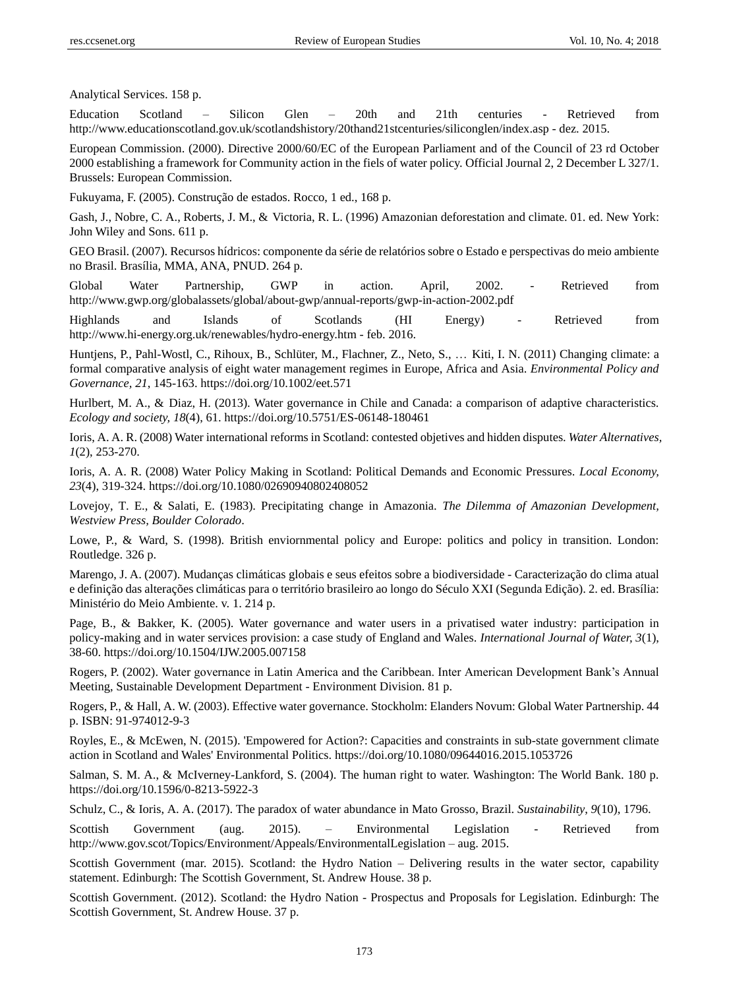Analytical Services. 158 p.

Education Scotland – Silicon Glen – 20th and 21th centuries - Retrieved from <http://www.educationscotland.gov.uk/scotlandshistory/20thand21stcenturies/siliconglen/index.asp> - dez. 2015.

European Commission. (2000). Directive 2000/60/EC of the European Parliament and of the Council of 23 rd October 2000 establishing a framework for Community action in the fiels of water policy. Official Journal 2, 2 December L 327/1. Brussels: European Commission.

Fukuyama, F. (2005). Construção de estados. Rocco, 1 ed., 168 p.

Gash, J., Nobre, C. A., Roberts, J. M., & Victoria, R. L. (1996) Amazonian deforestation and climate. 01. ed. New York: John Wiley and Sons. 611 p.

GEO Brasil. (2007). Recursos hídricos: componente da série de relatórios sobre o Estado e perspectivas do meio ambiente no Brasil. Brasília, MMA, ANA, PNUD. 264 p.

Global Water Partnership, GWP in action. April, 2002. - Retrieved from http://www.gwp.org/globalassets/global/about-gwp/annual-reports/gwp-in-action-2002.pdf

Highlands and Islands of Scotlands (HI Energy) - Retrieved from <http://www.hi-energy.org.uk/renewables/hydro-energy.htm> - feb. 2016.

Huntjens, P., Pahl-Wostl, C., Rihoux, B., Schlüter, M., Flachner, Z., Neto, S., … Kiti, I. N. (2011) Changing climate: a formal comparative analysis of eight water management regimes in Europe, Africa and Asia. *Environmental Policy and Governance, 21*, 145-163.<https://doi.org/10.1002/eet.571>

Hurlbert, M. A., & Diaz, H. (2013). Water governance in Chile and Canada: a comparison of adaptive characteristics. *Ecology and society, 18*(4), 61.<https://doi.org/10.5751/ES-06148-180461>

Ioris, A. A. R. (2008) Water international reforms in Scotland: contested objetives and hidden disputes. *Water Alternatives, 1*(2), 253-270.

Ioris, A. A. R. (2008) Water Policy Making in Scotland: Political Demands and Economic Pressures. *Local Economy, 23*(4), 319-324[. https://doi.org/10.1080/02690940802408052](https://doi.org/10.1080/02690940802408052)

Lovejoy, T. E., & Salati, E. (1983). Precipitating change in Amazonia. *The Dilemma of Amazonian Development, Westview Press, Boulder Colorado*.

Lowe, P., & Ward, S. (1998). British enviornmental policy and Europe: politics and policy in transition. London: Routledge. 326 p.

Marengo, J. A. (2007). Mudanças climáticas globais e seus efeitos sobre a biodiversidade - Caracterização do clima atual e definição das alterações climáticas para o território brasileiro ao longo do Século XXI (Segunda Edição). 2. ed. Brasília: Ministério do Meio Ambiente. v. 1. 214 p.

Page, B., & Bakker, K. (2005). Water governance and water users in a privatised water industry: participation in policy-making and in water services provision: a case study of England and Wales. *International Journal of Water, 3*(1), 38-60. <https://doi.org/10.1504/IJW.2005.007158>

Rogers, P. (2002). Water governance in Latin America and the Caribbean. Inter American Development Bank's Annual Meeting, Sustainable Development Department - Environment Division. 81 p.

Rogers, P., & Hall, A. W. (2003). Effective water governance. Stockholm: Elanders Novum: Global Water Partnership. 44 p. ISBN: 91-974012-9-3

Royles, E., & McEwen, N. (2015). 'Empowered for Action?: Capacities and constraints in sub-state government climate action in Scotland and Wales' Environmental Politics[. https://doi.org/10.1080/09644016.2015.1053726](https://doi.org/10.1080/09644016.2015.1053726)

Salman, S. M. A., & McIverney-Lankford, S. (2004). The human right to water. Washington: The World Bank. 180 p. <https://doi.org/10.1596/0-8213-5922-3>

Schulz, C., & Ioris, A. A. (2017). The paradox of water abundance in Mato Grosso, Brazil. *Sustainability*, *9*(10), 1796.

Scottish Government (aug. 2015). – Environmental Legislation - Retrieved from <http://www.gov.scot/Topics/Environment/Appeals/EnvironmentalLegislation> – aug. 2015.

Scottish Government (mar. 2015). Scotland: the Hydro Nation – Delivering results in the water sector, capability statement. Edinburgh: The Scottish Government, St. Andrew House. 38 p.

Scottish Government. (2012). Scotland: the Hydro Nation - Prospectus and Proposals for Legislation. Edinburgh: The Scottish Government, St. Andrew House. 37 p.